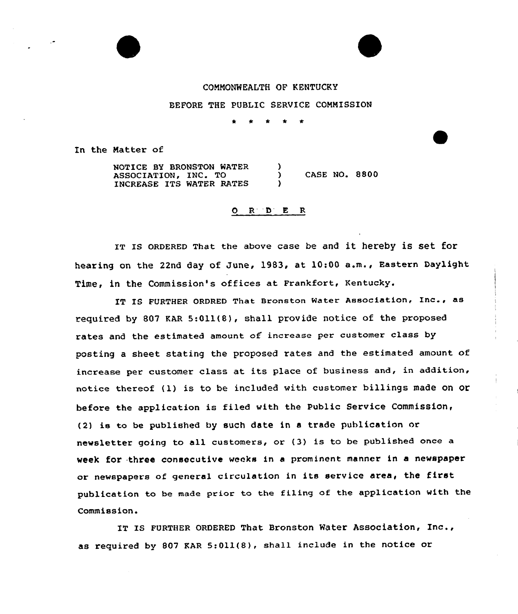## CONNONNEALTH OF KENTUCKY

## BEFORE THE PUBLIC SERVICE COMMISSION

In the Natter of

NOTICE BY BRONSTON WATER ASSOCIATION, INC. TO INCREASE ITS WATER RATES  $\left\{ \right.$ ) ) CASE NO. 8800 )

## O R D E R

IT IS ORDERED That the above case be and it hereby is set for hearing on the 22nd day of June, 1983, at 10:00 a.m., Eastern Daylight Time, in the Commission's offices at Frankfort, Kentucky.

IT IS FURTHER ORDRED That Bronston Water Association, Inc., as required by 807 KAR 5:Oll(8), shall provide notice of the proposed rates and the estimated amount of increase per customer class by posting a sheet stating the proposed rates and the estimated amount of increase per customer class at its place of business and, in addition, notice thereof (l) is to be included with customer billings made on or before the application is filed with the Public Service Commission, (2) is ta be pubLished by such date in <sup>a</sup> trade publication or newsletter going to all customers, or (3) is to be published once a week for three consecutive weeks in a prominent manner in a newspaper ar newspapers af general circulation in its service area, the first publication to be made prior to the filing of the application with the Commission.

IT Is FURTHER oRDERED That Bronston Water Association, Inc., as required by 807 KAR  $5:011(8)$ , shall include in the notice or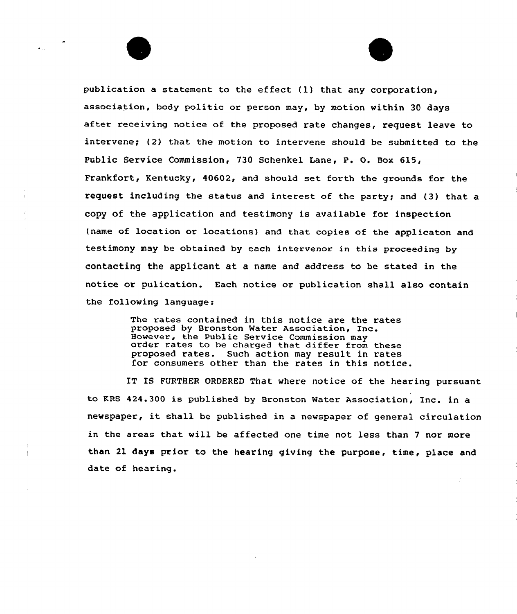publication a statement to the effect (1) that any corporation, association, body politic or person may, by motion within 30 days after receiving notice of the proposed rate changes, request leave to intervene; (2) that the motion to intervene should be submitted to the Public Service Commission, 730 Schenkel Lane, P. 0. Box 6l5, Frankfort, Kentucky, 40602, and should set forth the grounds for the request including the status and interest of the party; and (3) that a copy of the application and testimony is available for inspection (name of location or locations) and that copies of the applicaton and testimony may be obtained by each intervenor in this proceeding by contacting the applicant at a name and address to be stated in the notice or pulication. Each notice or publication shall also contain the following language:

> The rates contained in this notice are the rates proposed by Bronston Water Association, Inc.<br>However, the Public Service Commission may order rates to be charged that differ from these proposed rates. Such action may result in rates for consumers other than the rates in this notice.

IT IS FURTHER ORDERED That where notice of the hearing pursuant to KRS 424.300 is published by Bronston Water Association, Inc. in a newspaper, it shall be published in <sup>a</sup> newspaper of general circulation in the areas that will be affected one time not less than <sup>7</sup> nor more than 21 days prior to the hearing giving the purpose, time, place and date of hearing.